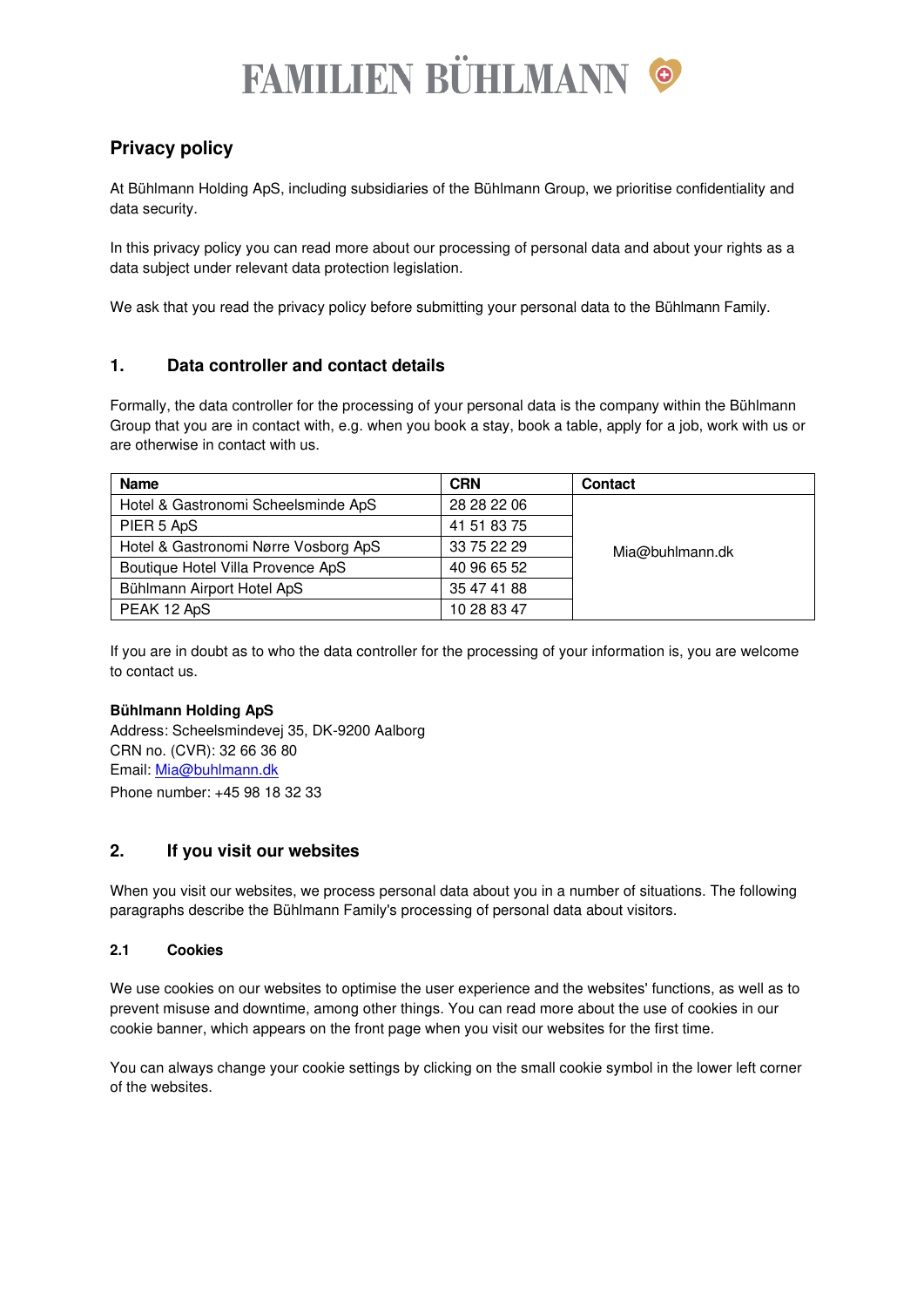# **FAMILIEN BÜHLMANN ©**

# **Privacy policy**

At Bühlmann Holding ApS, including subsidiaries of the Bühlmann Group, we prioritise confidentiality and data security.

In this privacy policy you can read more about our processing of personal data and about your rights as a data subject under relevant data protection legislation.

We ask that you read the privacy policy before submitting your personal data to the Bühlmann Family.

# **1. Data controller and contact details**

Formally, the data controller for the processing of your personal data is the company within the Bühlmann Group that you are in contact with, e.g. when you book a stay, book a table, apply for a job, work with us or are otherwise in contact with us.

| <b>Name</b>                          | <b>CRN</b>  | <b>Contact</b>  |
|--------------------------------------|-------------|-----------------|
| Hotel & Gastronomi Scheelsminde ApS  | 28 28 22 06 |                 |
| PIER 5 ApS                           | 41 51 83 75 |                 |
| Hotel & Gastronomi Nørre Vosborg ApS | 33 75 22 29 | Mia@buhlmann.dk |
| Boutique Hotel Villa Provence ApS    | 40 96 65 52 |                 |
| Bühlmann Airport Hotel ApS           | 35 47 41 88 |                 |
| PEAK 12 ApS                          | 10 28 83 47 |                 |

If you are in doubt as to who the data controller for the processing of your information is, you are welcome to contact us.

# **Bühlmann Holding ApS**

Address: Scheelsmindevej 35, DK-9200 Aalborg CRN no. (CVR): 32 66 36 80 Email: [Mia@buhlmann.dk](mailto:Mia@buhlmann.dk)  Phone number: +45 98 18 32 33

# **2. If you visit our websites**

When you visit our websites, we process personal data about you in a number of situations. The following paragraphs describe the Bühlmann Family's processing of personal data about visitors.

# **2.1 Cookies**

We use cookies on our websites to optimise the user experience and the websites' functions, as well as to prevent misuse and downtime, among other things. You can read more about the use of cookies in our cookie banner, which appears on the front page when you visit our websites for the first time.

You can always change your cookie settings by clicking on the small cookie symbol in the lower left corner of the websites.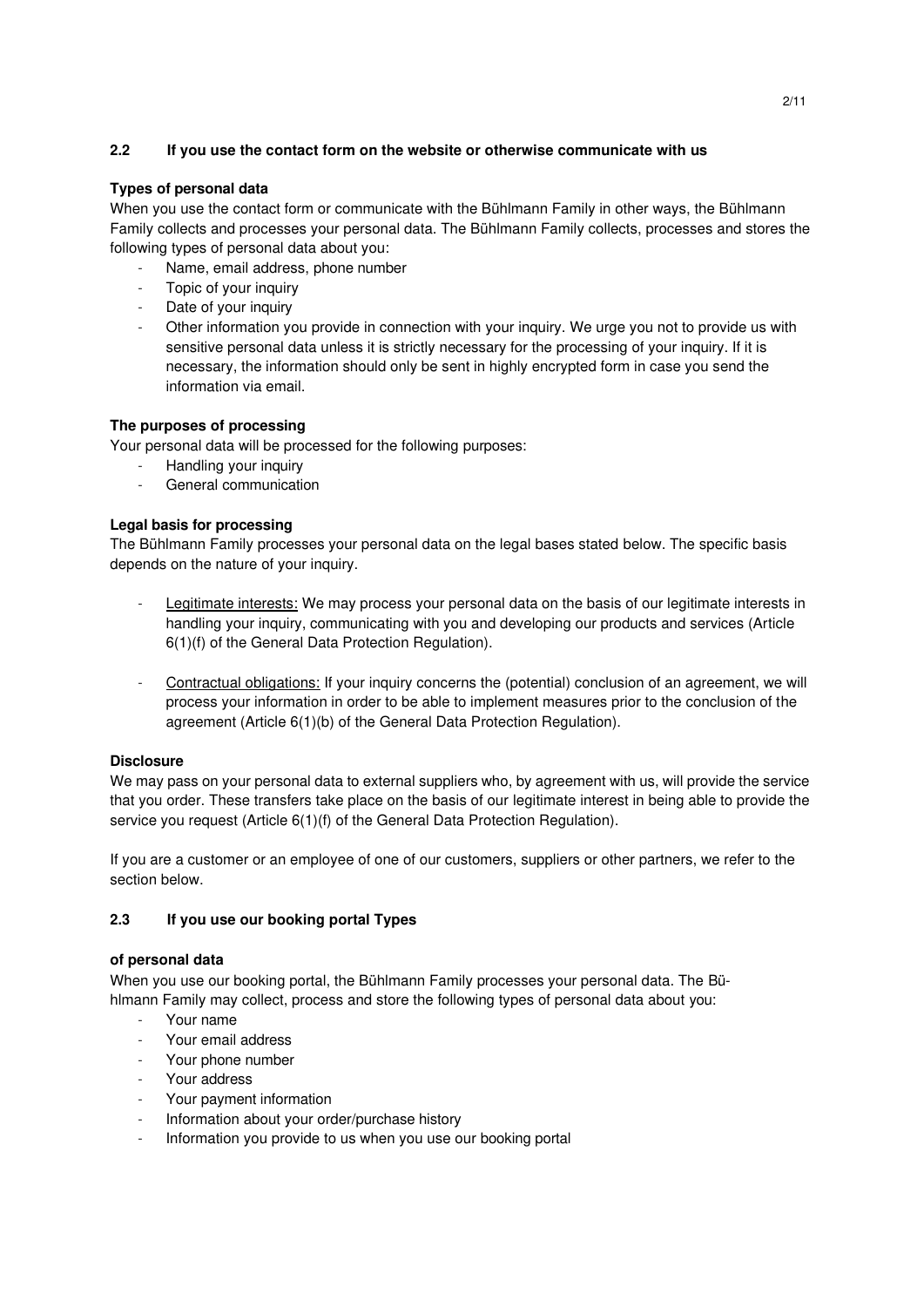# **2.2 If you use the contact form on the website or otherwise communicate with us**

# **Types of personal data**

When you use the contact form or communicate with the Bühlmann Family in other ways, the Bühlmann Family collects and processes your personal data. The Bühlmann Family collects, processes and stores the following types of personal data about you:

- Name, email address, phone number
- Topic of your inquiry
- Date of your inquiry
- Other information you provide in connection with your inquiry. We urge you not to provide us with sensitive personal data unless it is strictly necessary for the processing of your inquiry. If it is necessary, the information should only be sent in highly encrypted form in case you send the information via email.

# **The purposes of processing**

Your personal data will be processed for the following purposes:

- Handling your inquiry
- General communication

# **Legal basis for processing**

The Bühlmann Family processes your personal data on the legal bases stated below. The specific basis depends on the nature of your inquiry.

- Legitimate interests: We may process your personal data on the basis of our legitimate interests in handling your inquiry, communicating with you and developing our products and services (Article 6(1)(f) of the General Data Protection Regulation).
- Contractual obligations: If your inquiry concerns the (potential) conclusion of an agreement, we will process your information in order to be able to implement measures prior to the conclusion of the agreement (Article 6(1)(b) of the General Data Protection Regulation).

# **Disclosure**

We may pass on your personal data to external suppliers who, by agreement with us, will provide the service that you order. These transfers take place on the basis of our legitimate interest in being able to provide the service you request (Article 6(1)(f) of the General Data Protection Regulation).

If you are a customer or an employee of one of our customers, suppliers or other partners, we refer to the section below.

# **2.3 If you use our booking portal Types**

#### **of personal data**

When you use our booking portal, the Bühlmann Family processes your personal data. The Bühlmann Family may collect, process and store the following types of personal data about you:

- Your name
- Your email address
- Your phone number
- Your address
- Your payment information
- Information about your order/purchase history
- Information you provide to us when you use our booking portal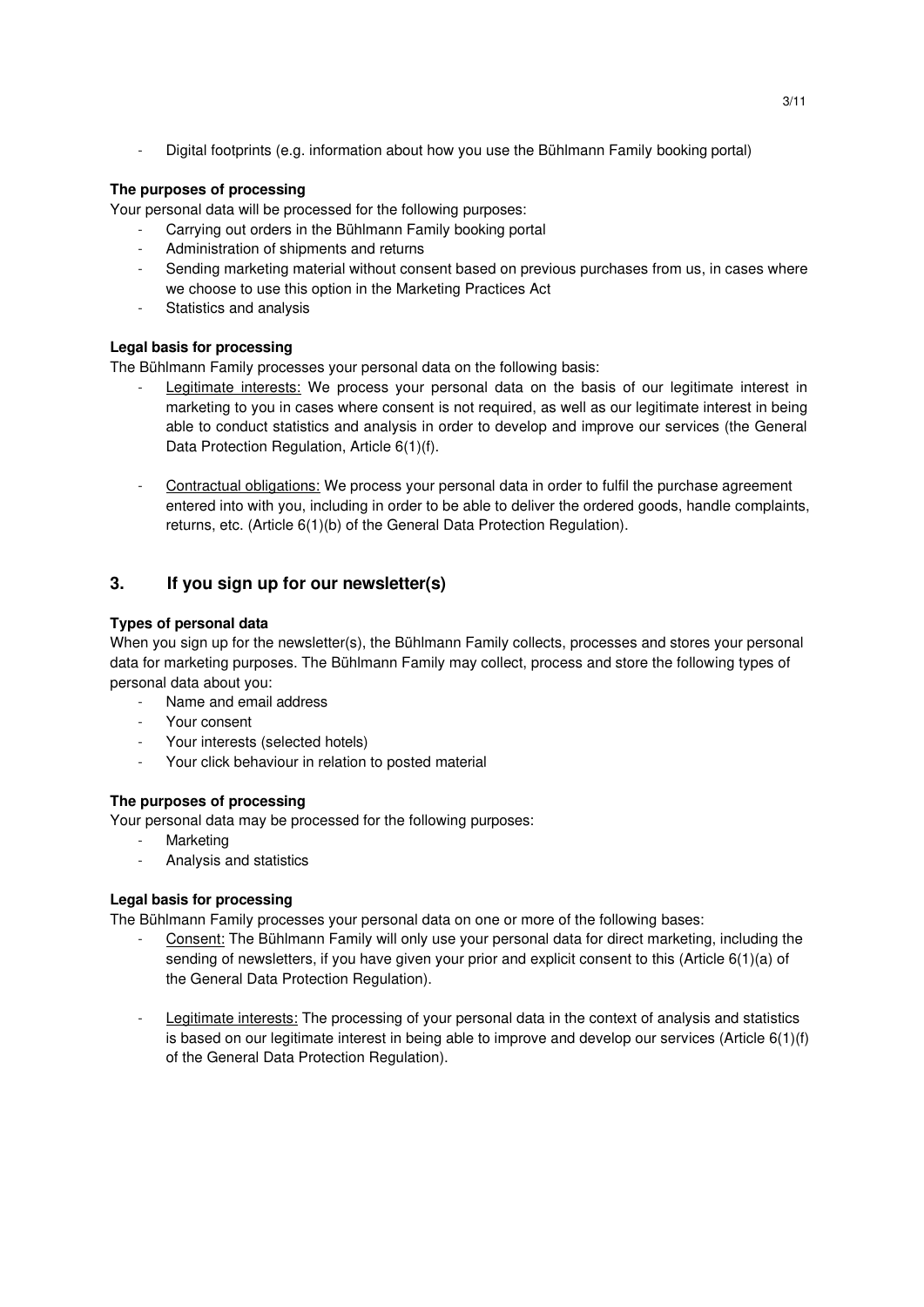- Digital footprints (e.g. information about how you use the Bühlmann Family booking portal)

# **The purposes of processing**

Your personal data will be processed for the following purposes:

- Carrying out orders in the Bühlmann Family booking portal
- Administration of shipments and returns
- Sending marketing material without consent based on previous purchases from us, in cases where we choose to use this option in the Marketing Practices Act
- Statistics and analysis

# **Legal basis for processing**

The Bühlmann Family processes your personal data on the following basis:

- Legitimate interests: We process your personal data on the basis of our legitimate interest in marketing to you in cases where consent is not required, as well as our legitimate interest in being able to conduct statistics and analysis in order to develop and improve our services (the General Data Protection Regulation, Article 6(1)(f).
- Contractual obligations: We process your personal data in order to fulfil the purchase agreement entered into with you, including in order to be able to deliver the ordered goods, handle complaints, returns, etc. (Article 6(1)(b) of the General Data Protection Regulation).

# **3. If you sign up for our newsletter(s)**

# **Types of personal data**

When you sign up for the newsletter(s), the Bühlmann Family collects, processes and stores your personal data for marketing purposes. The Bühlmann Family may collect, process and store the following types of personal data about you:

- Name and email address
- Your consent
- Your interests (selected hotels)
- Your click behaviour in relation to posted material

# **The purposes of processing**

Your personal data may be processed for the following purposes:

- Marketing
- Analysis and statistics

# **Legal basis for processing**

The Bühlmann Family processes your personal data on one or more of the following bases:

- Consent: The Bühlmann Family will only use your personal data for direct marketing, including the sending of newsletters, if you have given your prior and explicit consent to this (Article 6(1)(a) of the General Data Protection Regulation).
- Legitimate interests: The processing of your personal data in the context of analysis and statistics is based on our legitimate interest in being able to improve and develop our services (Article  $6(1)(f)$ ) of the General Data Protection Regulation).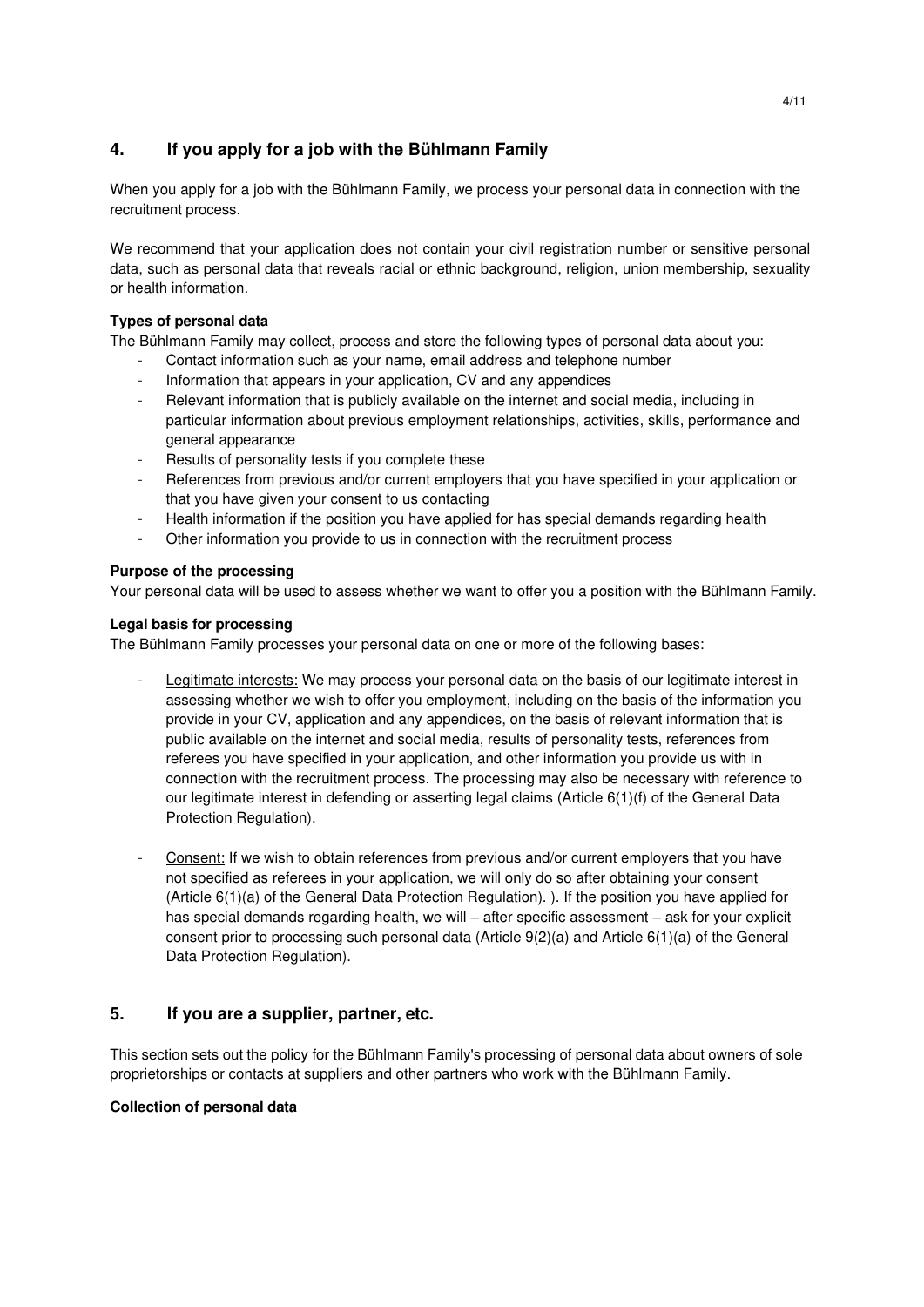# **4. If you apply for a job with the Bühlmann Family**

When you apply for a job with the Bühlmann Family, we process your personal data in connection with the recruitment process.

We recommend that your application does not contain your civil registration number or sensitive personal data, such as personal data that reveals racial or ethnic background, religion, union membership, sexuality or health information.

# **Types of personal data**

The Bühlmann Family may collect, process and store the following types of personal data about you:

- Contact information such as your name, email address and telephone number
- Information that appears in your application, CV and any appendices
- Relevant information that is publicly available on the internet and social media, including in particular information about previous employment relationships, activities, skills, performance and general appearance
- Results of personality tests if you complete these
- References from previous and/or current employers that you have specified in your application or that you have given your consent to us contacting
- Health information if the position you have applied for has special demands regarding health
- Other information you provide to us in connection with the recruitment process

# **Purpose of the processing**

Your personal data will be used to assess whether we want to offer you a position with the Bühlmann Family.

# **Legal basis for processing**

The Bühlmann Family processes your personal data on one or more of the following bases:

- Legitimate interests: We may process your personal data on the basis of our legitimate interest in assessing whether we wish to offer you employment, including on the basis of the information you provide in your CV, application and any appendices, on the basis of relevant information that is public available on the internet and social media, results of personality tests, references from referees you have specified in your application, and other information you provide us with in connection with the recruitment process. The processing may also be necessary with reference to our legitimate interest in defending or asserting legal claims (Article 6(1)(f) of the General Data Protection Regulation).
- Consent: If we wish to obtain references from previous and/or current employers that you have not specified as referees in your application, we will only do so after obtaining your consent (Article 6(1)(a) of the General Data Protection Regulation). ). If the position you have applied for has special demands regarding health, we will – after specific assessment – ask for your explicit consent prior to processing such personal data (Article 9(2)(a) and Article 6(1)(a) of the General Data Protection Regulation).

# **5. If you are a supplier, partner, etc.**

This section sets out the policy for the Bühlmann Family's processing of personal data about owners of sole proprietorships or contacts at suppliers and other partners who work with the Bühlmann Family.

# **Collection of personal data**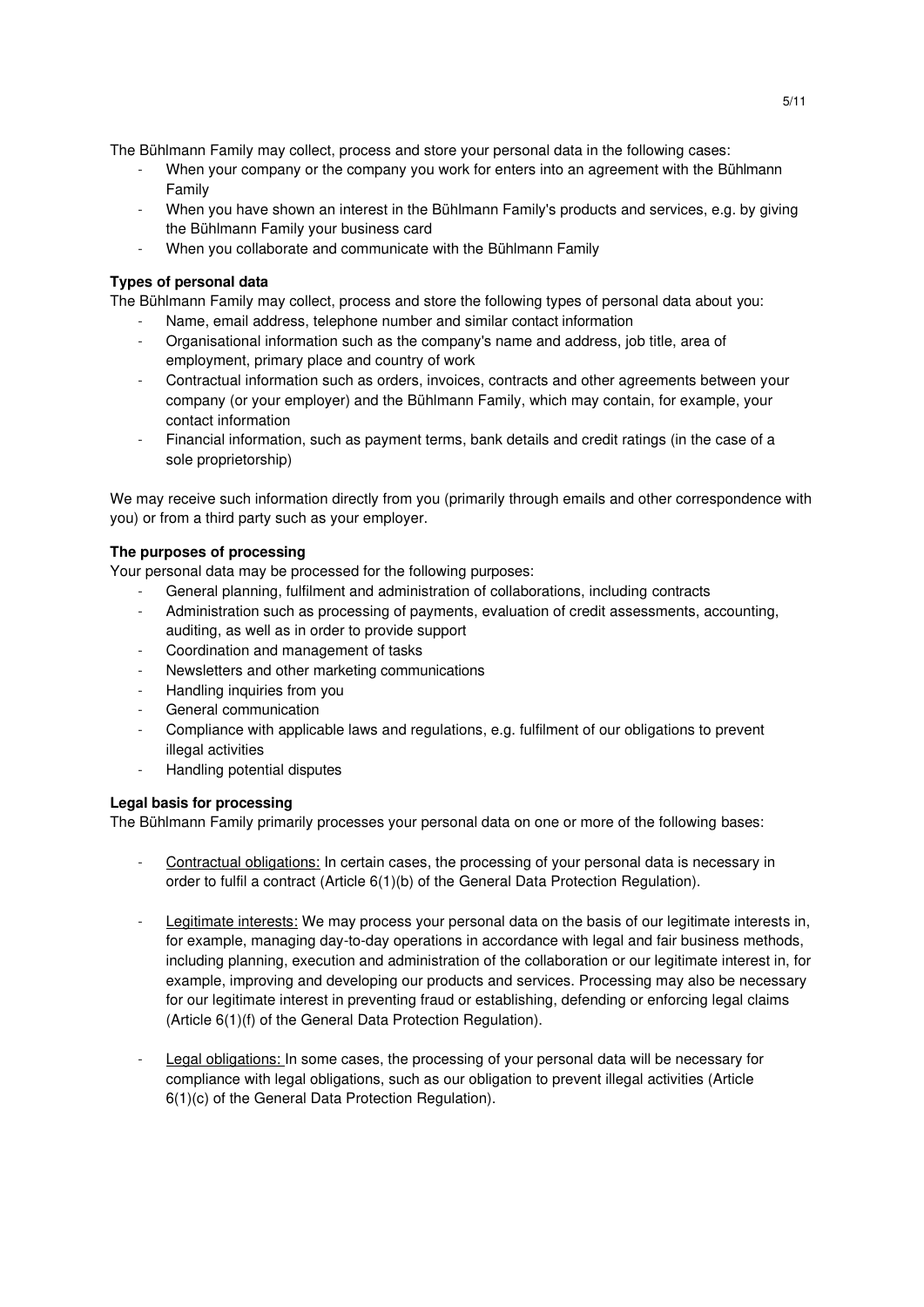The Bühlmann Family may collect, process and store your personal data in the following cases:

- When your company or the company you work for enters into an agreement with the Bühlmann Family
- When you have shown an interest in the Bühlmann Family's products and services, e.g. by giving the Bühlmann Family your business card
- When you collaborate and communicate with the Bühlmann Family

#### **Types of personal data**

The Bühlmann Family may collect, process and store the following types of personal data about you:

- Name, email address, telephone number and similar contact information
- Organisational information such as the company's name and address, job title, area of employment, primary place and country of work
- Contractual information such as orders, invoices, contracts and other agreements between your company (or your employer) and the Bühlmann Family, which may contain, for example, your contact information
- Financial information, such as payment terms, bank details and credit ratings (in the case of a sole proprietorship)

We may receive such information directly from you (primarily through emails and other correspondence with you) or from a third party such as your employer.

#### **The purposes of processing**

Your personal data may be processed for the following purposes:

- General planning, fulfilment and administration of collaborations, including contracts
- Administration such as processing of payments, evaluation of credit assessments, accounting, auditing, as well as in order to provide support
- Coordination and management of tasks
- Newsletters and other marketing communications
- Handling inquiries from you
- General communication
- Compliance with applicable laws and regulations, e.g. fulfilment of our obligations to prevent illegal activities
- Handling potential disputes

#### **Legal basis for processing**

The Bühlmann Family primarily processes your personal data on one or more of the following bases:

- Contractual obligations: In certain cases, the processing of your personal data is necessary in order to fulfil a contract (Article 6(1)(b) of the General Data Protection Regulation).
- Legitimate interests: We may process your personal data on the basis of our legitimate interests in, for example, managing day-to-day operations in accordance with legal and fair business methods, including planning, execution and administration of the collaboration or our legitimate interest in, for example, improving and developing our products and services. Processing may also be necessary for our legitimate interest in preventing fraud or establishing, defending or enforcing legal claims (Article 6(1)(f) of the General Data Protection Regulation).
- Legal obligations: In some cases, the processing of your personal data will be necessary for compliance with legal obligations, such as our obligation to prevent illegal activities (Article 6(1)(c) of the General Data Protection Regulation).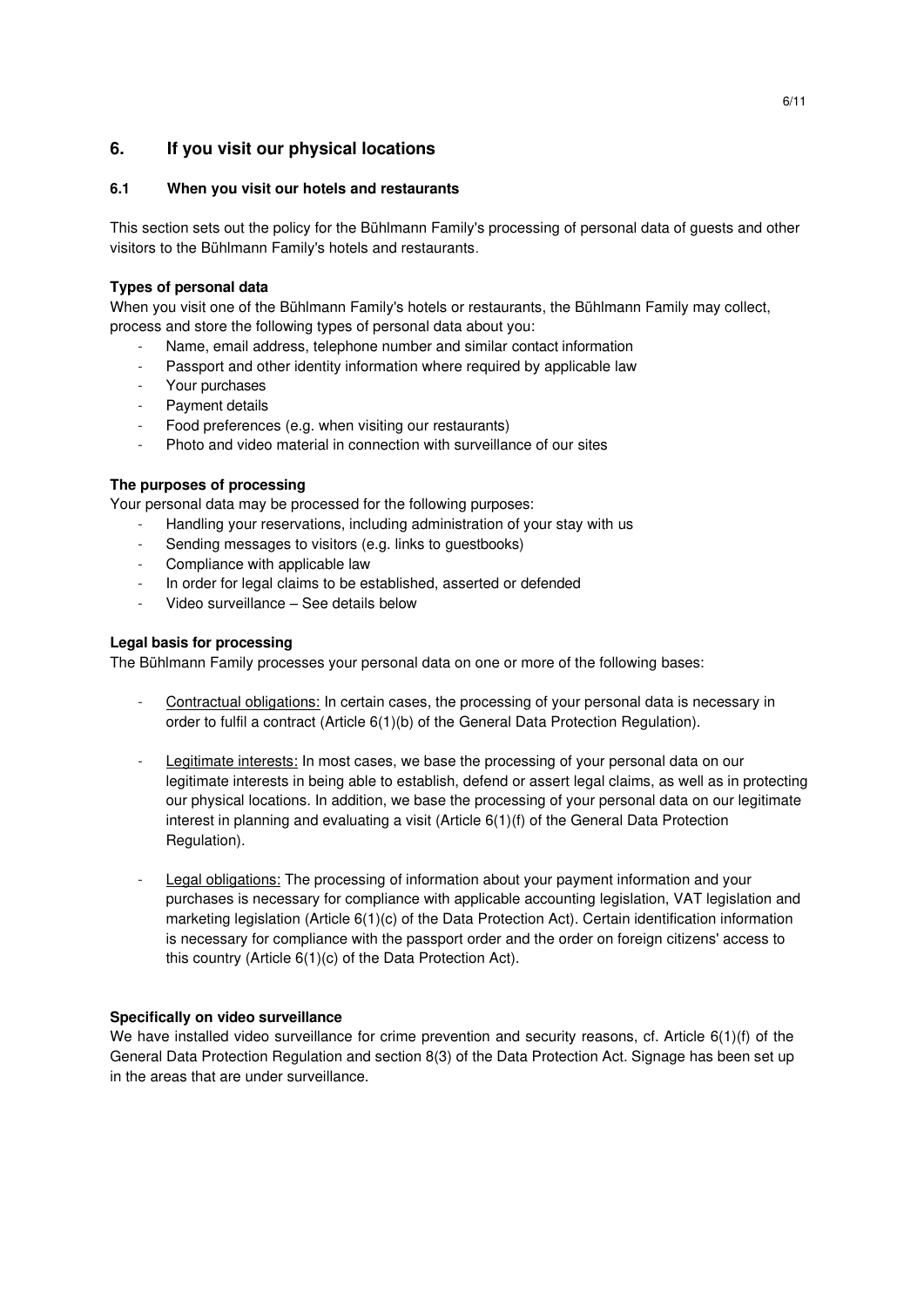# **6. If you visit our physical locations**

# **6.1 When you visit our hotels and restaurants**

This section sets out the policy for the Bühlmann Family's processing of personal data of guests and other visitors to the Bühlmann Family's hotels and restaurants.

# **Types of personal data**

When you visit one of the Bühlmann Family's hotels or restaurants, the Bühlmann Family may collect, process and store the following types of personal data about you:

- Name, email address, telephone number and similar contact information
- Passport and other identity information where required by applicable law
- Your purchases
- Payment details
- Food preferences (e.g. when visiting our restaurants)
- Photo and video material in connection with surveillance of our sites

# **The purposes of processing**

Your personal data may be processed for the following purposes:

- Handling your reservations, including administration of your stay with us
- Sending messages to visitors (e.g. links to guestbooks)
- Compliance with applicable law
- In order for legal claims to be established, asserted or defended
- Video surveillance See details below

# **Legal basis for processing**

The Bühlmann Family processes your personal data on one or more of the following bases:

- Contractual obligations: In certain cases, the processing of your personal data is necessary in order to fulfil a contract (Article 6(1)(b) of the General Data Protection Regulation).
- Legitimate interests: In most cases, we base the processing of your personal data on our legitimate interests in being able to establish, defend or assert legal claims, as well as in protecting our physical locations. In addition, we base the processing of your personal data on our legitimate interest in planning and evaluating a visit (Article 6(1)(f) of the General Data Protection Regulation).
- Legal obligations: The processing of information about your payment information and your purchases is necessary for compliance with applicable accounting legislation, VAT legislation and marketing legislation (Article 6(1)(c) of the Data Protection Act). Certain identification information is necessary for compliance with the passport order and the order on foreign citizens' access to this country (Article 6(1)(c) of the Data Protection Act).

# **Specifically on video surveillance**

We have installed video surveillance for crime prevention and security reasons, cf. Article 6(1)(f) of the General Data Protection Regulation and section 8(3) of the Data Protection Act. Signage has been set up in the areas that are under surveillance.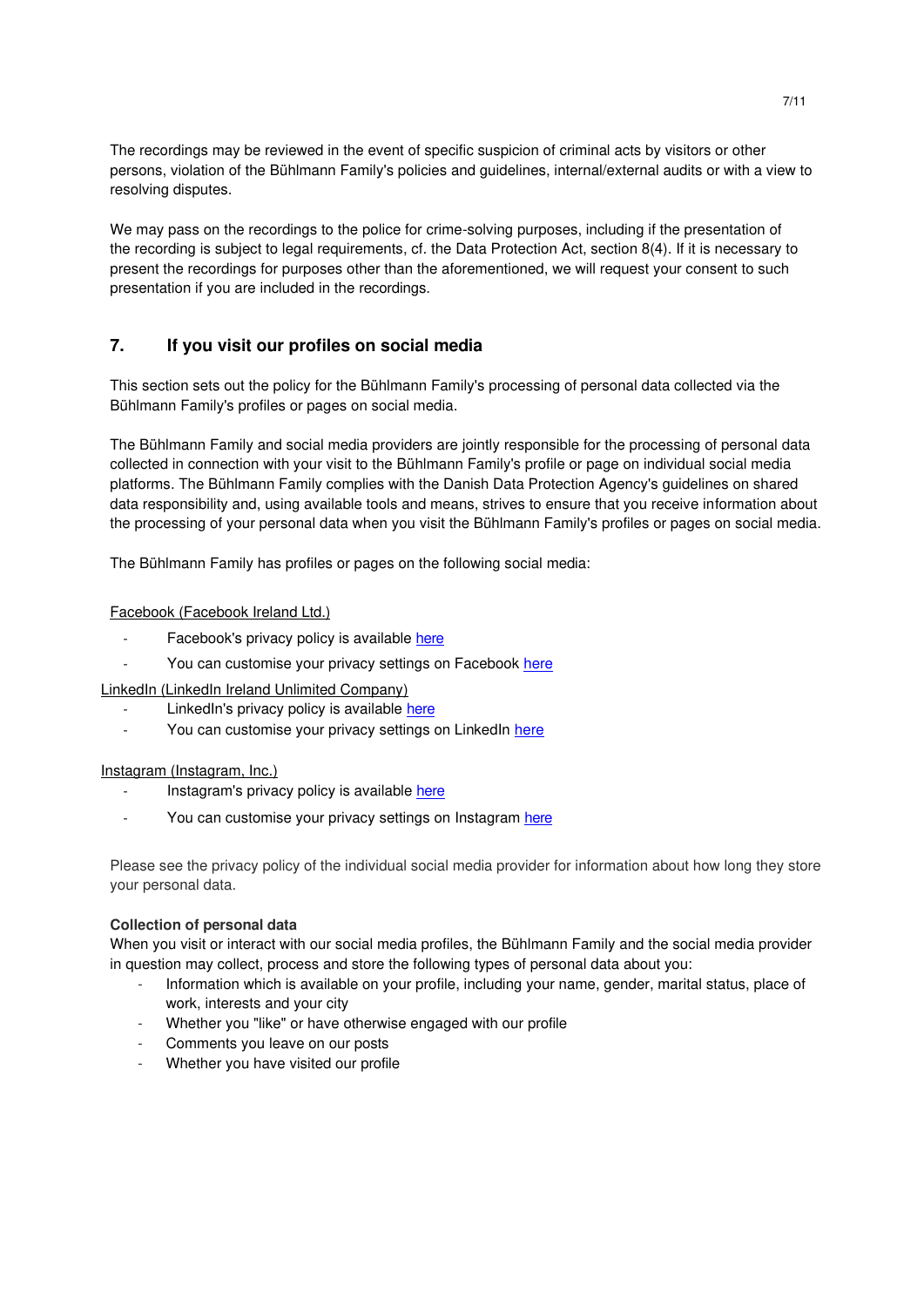The recordings may be reviewed in the event of specific suspicion of criminal acts by visitors or other persons, violation of the Bühlmann Family's policies and guidelines, internal/external audits or with a view to resolving disputes.

We may pass on the recordings to the police for crime-solving purposes, including if the presentation of the recording is subject to legal requirements, cf. the Data Protection Act, section 8(4). If it is necessary to present the recordings for purposes other than the aforementioned, we will request your consent to such presentation if you are included in the recordings.

# **7. If you visit our profiles on social media**

This section sets out the policy for the Bühlmann Family's processing of personal data collected via the Bühlmann Family's profiles or pages on social media.

The Bühlmann Family and social media providers are jointly responsible for the processing of personal data collected in connection with your visit to the Bühlmann Family's profile or page on individual social media platforms. The Bühlmann Family complies with the Danish Data Protection Agency's guidelines on shared data responsibility and, using available tools and means, strives to ensure that you receive information about the processing of your personal data when you visit the Bühlmann Family's profiles or pages on social media.

The Bühlmann Family has profiles or pages on the following social media:

#### Facebook (Facebook Ireland Ltd.)

- Facebook's privacy policy is available [here](https://m.facebook.com/about/privacy/previous)
- You can customise your privacy settings on Facebook [here](https://m.facebook.com/help/325807937506242)

LinkedIn (LinkedIn Ireland Unlimited Company)

- LinkedIn's privacy policy is available [here](https://www.linkedin.com/legal/privacy-policy)
- You can customise your privacy settings on LinkedIn here

#### Instagram (Instagram, Inc.)

- Instagram's privacy policy is available [here](https://help.instagram.com/519522125107875/?helpref=hc_fnav&bc%5b0%5d=Instagram%20Help&bc%5b1%5d=Policies%20and%20Reporting)
- You can customise your privacy settings on Instagram [here](https://help.instagram.com/196883487377501/?helpref=hc_fnav&bc%5b0%5d=Instagram%20Help&bc%5b1%5d=Privacy%2C%20Safety%20and%20Security&bc%5b2%5d=Managing%20Your%20Privacy%20Settings)

Please see the privacy policy of the individual social media provider for information about how long they store your personal data.

#### **Collection of personal data**

When you visit or interact with our social media profiles, the Bühlmann Family and the social media provider in question may collect, process and store the following types of personal data about you:

- Information which is available on your profile, including your name, gender, marital status, place of work, interests and your city
- Whether you "like" or have otherwise engaged with our profile
- Comments you leave on our posts
- Whether you have visited our profile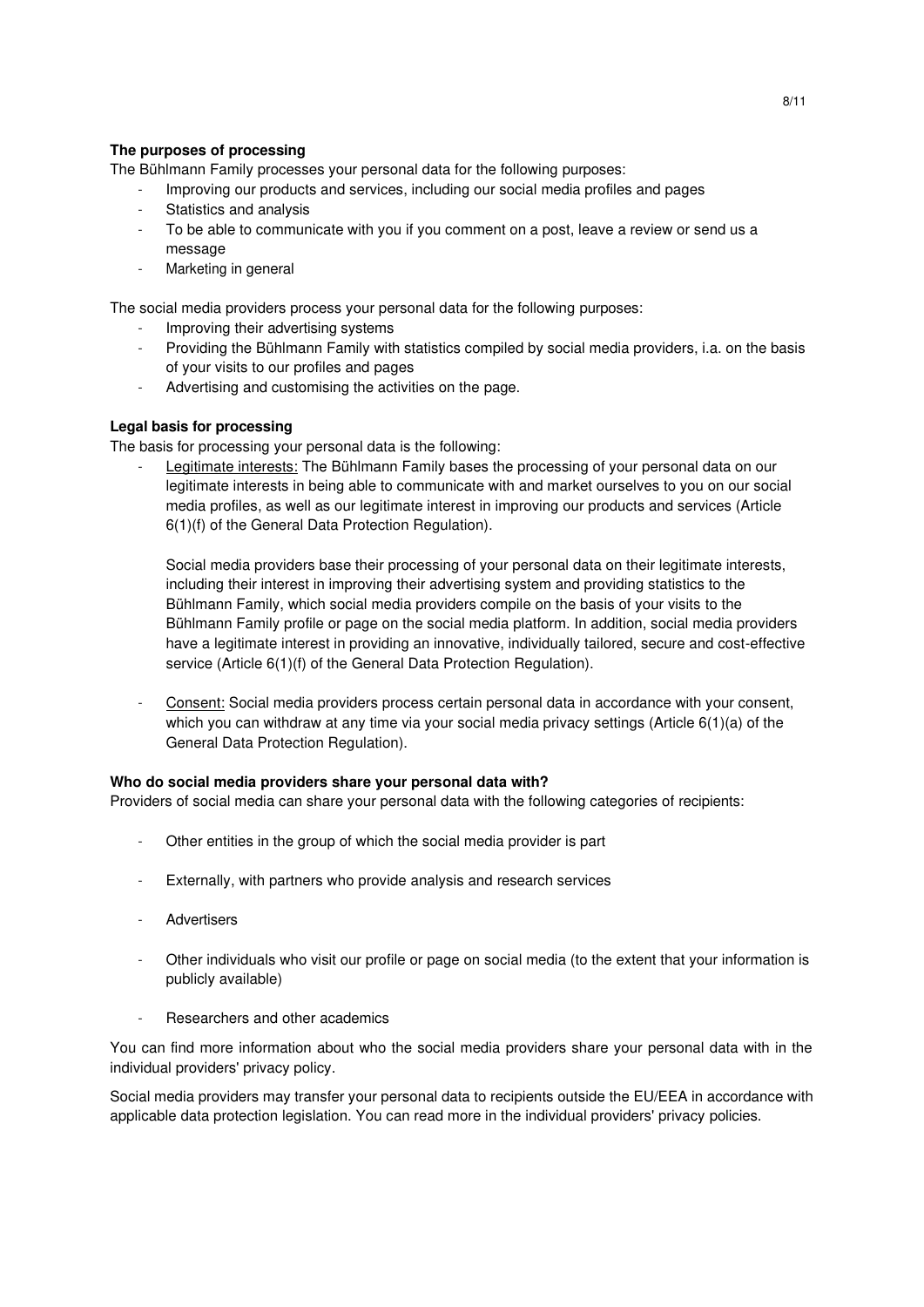# **The purposes of processing**

The Bühlmann Family processes your personal data for the following purposes:

- Improving our products and services, including our social media profiles and pages
- Statistics and analysis
- To be able to communicate with you if you comment on a post, leave a review or send us a message
- Marketing in general

The social media providers process your personal data for the following purposes:

- Improving their advertising systems
- Providing the Bühlmann Family with statistics compiled by social media providers, i.a. on the basis of your visits to our profiles and pages
- Advertising and customising the activities on the page.

# **Legal basis for processing**

The basis for processing your personal data is the following:

Legitimate interests: The Bühlmann Family bases the processing of your personal data on our legitimate interests in being able to communicate with and market ourselves to you on our social media profiles, as well as our legitimate interest in improving our products and services (Article 6(1)(f) of the General Data Protection Regulation).

Social media providers base their processing of your personal data on their legitimate interests, including their interest in improving their advertising system and providing statistics to the Bühlmann Family, which social media providers compile on the basis of your visits to the Bühlmann Family profile or page on the social media platform. In addition, social media providers have a legitimate interest in providing an innovative, individually tailored, secure and cost-effective service (Article 6(1)(f) of the General Data Protection Regulation).

Consent: Social media providers process certain personal data in accordance with your consent, which you can withdraw at any time via your social media privacy settings (Article  $6(1)(a)$  of the General Data Protection Regulation).

#### **Who do social media providers share your personal data with?**

Providers of social media can share your personal data with the following categories of recipients:

- Other entities in the group of which the social media provider is part
- Externally, with partners who provide analysis and research services
- **Advertisers**
- Other individuals who visit our profile or page on social media (to the extent that your information is publicly available)
- Researchers and other academics

You can find more information about who the social media providers share your personal data with in the individual providers' privacy policy.

Social media providers may transfer your personal data to recipients outside the EU/EEA in accordance with applicable data protection legislation. You can read more in the individual providers' privacy policies.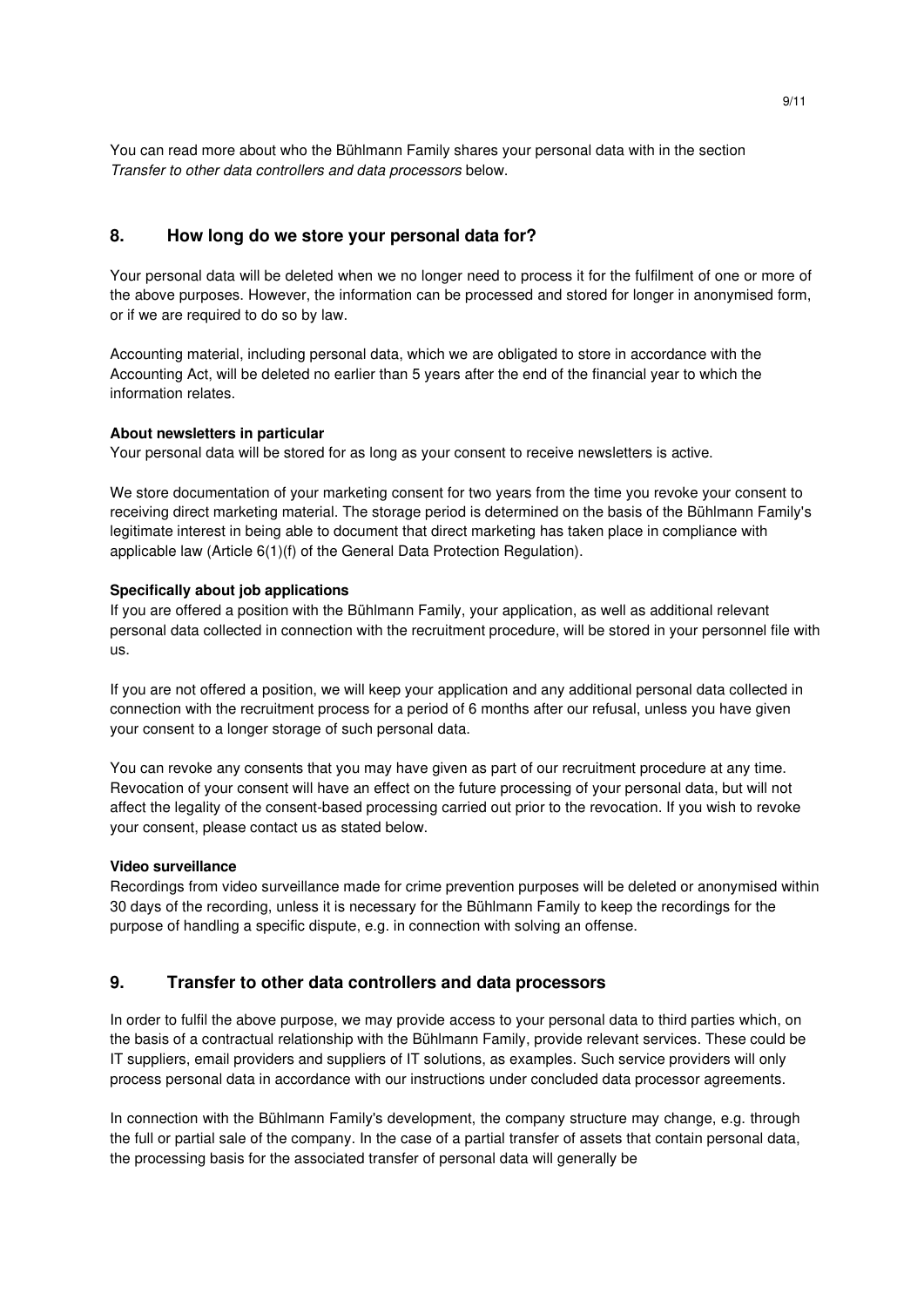You can read more about who the Bühlmann Family shares your personal data with in the section Transfer to other data controllers and data processors below.

# **8. How long do we store your personal data for?**

Your personal data will be deleted when we no longer need to process it for the fulfilment of one or more of the above purposes. However, the information can be processed and stored for longer in anonymised form, or if we are required to do so by law.

Accounting material, including personal data, which we are obligated to store in accordance with the Accounting Act, will be deleted no earlier than 5 years after the end of the financial year to which the information relates.

#### **About newsletters in particular**

Your personal data will be stored for as long as your consent to receive newsletters is active.

We store documentation of your marketing consent for two years from the time you revoke your consent to receiving direct marketing material. The storage period is determined on the basis of the Bühlmann Family's legitimate interest in being able to document that direct marketing has taken place in compliance with applicable law (Article 6(1)(f) of the General Data Protection Regulation).

#### **Specifically about job applications**

If you are offered a position with the Bühlmann Family, your application, as well as additional relevant personal data collected in connection with the recruitment procedure, will be stored in your personnel file with us.

If you are not offered a position, we will keep your application and any additional personal data collected in connection with the recruitment process for a period of 6 months after our refusal, unless you have given your consent to a longer storage of such personal data.

You can revoke any consents that you may have given as part of our recruitment procedure at any time. Revocation of your consent will have an effect on the future processing of your personal data, but will not affect the legality of the consent-based processing carried out prior to the revocation. If you wish to revoke your consent, please contact us as stated below.

#### **Video surveillance**

Recordings from video surveillance made for crime prevention purposes will be deleted or anonymised within 30 days of the recording, unless it is necessary for the Bühlmann Family to keep the recordings for the purpose of handling a specific dispute, e.g. in connection with solving an offense.

# **9. Transfer to other data controllers and data processors**

In order to fulfil the above purpose, we may provide access to your personal data to third parties which, on the basis of a contractual relationship with the Bühlmann Family, provide relevant services. These could be IT suppliers, email providers and suppliers of IT solutions, as examples. Such service providers will only process personal data in accordance with our instructions under concluded data processor agreements.

In connection with the Bühlmann Family's development, the company structure may change, e.g. through the full or partial sale of the company. In the case of a partial transfer of assets that contain personal data, the processing basis for the associated transfer of personal data will generally be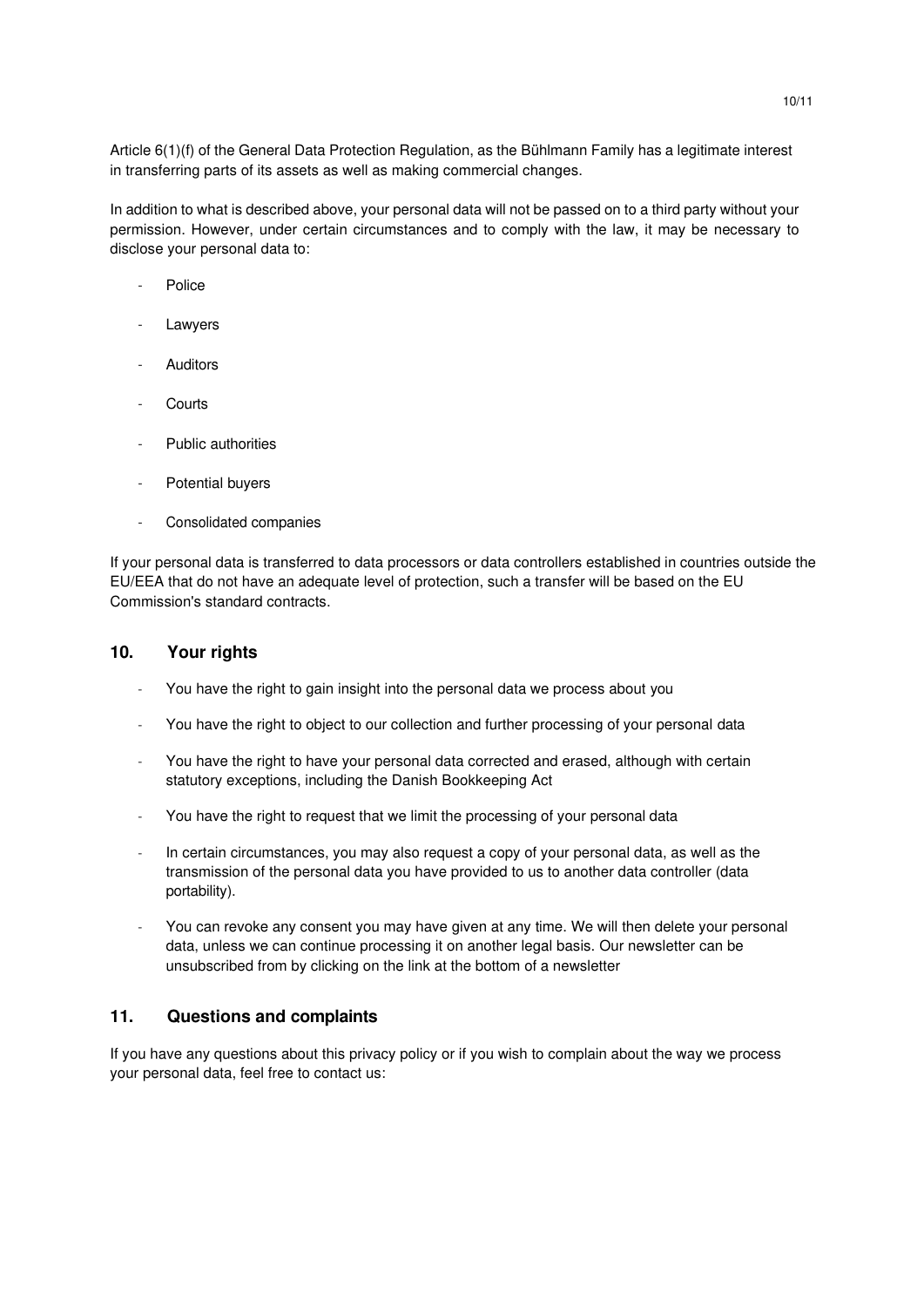Article 6(1)(f) of the General Data Protection Regulation, as the Bühlmann Family has a legitimate interest in transferring parts of its assets as well as making commercial changes.

In addition to what is described above, your personal data will not be passed on to a third party without your permission. However, under certain circumstances and to comply with the law, it may be necessary to disclose your personal data to:

- Police
- **Lawyers**
- **Auditors**
- **Courts**
- Public authorities
- Potential buyers
- Consolidated companies

If your personal data is transferred to data processors or data controllers established in countries outside the EU/EEA that do not have an adequate level of protection, such a transfer will be based on the EU Commission's standard contracts.

#### **10. Your rights**

- You have the right to gain insight into the personal data we process about you
- You have the right to object to our collection and further processing of your personal data
- You have the right to have your personal data corrected and erased, although with certain statutory exceptions, including the Danish Bookkeeping Act
- You have the right to request that we limit the processing of your personal data
- In certain circumstances, you may also request a copy of your personal data, as well as the transmission of the personal data you have provided to us to another data controller (data portability).
- You can revoke any consent you may have given at any time. We will then delete your personal data, unless we can continue processing it on another legal basis. Our newsletter can be unsubscribed from by clicking on the link at the bottom of a newsletter

# **11. Questions and complaints**

If you have any questions about this privacy policy or if you wish to complain about the way we process your personal data, feel free to contact us: